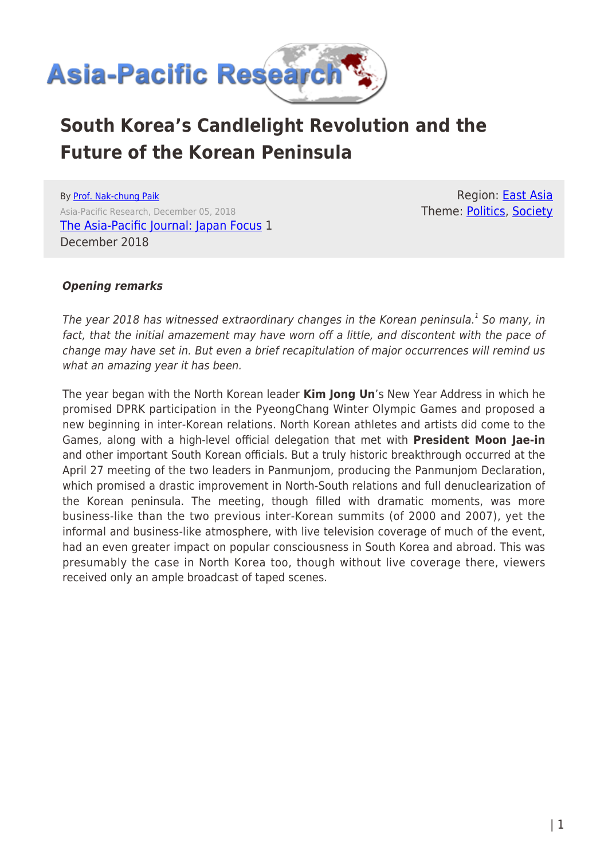

# **South Korea's Candlelight Revolution and the Future of the Korean Peninsula**

By [Prof. Nak-chung Paik](https://www.asia-pacificresearch.com/author/nak-chung-paik) Asia-Pacific Research, December 05, 2018 [The Asia-Pacific Journal: Japan Focus](https://apjjf.org/2018/23/Paik.html) 1 December 2018

Region: [East Asia](https://www.asia-pacificresearch.com/region/east-asia) Theme: [Politics,](https://www.asia-pacificresearch.com/theme/politics) [Society](https://www.asia-pacificresearch.com/theme/society)

## *Opening remarks*

The year 2018 has witnessed extraordinary changes in the Korean peninsula. $^1$  So many, in fact, that the initial amazement may have worn off a little, and discontent with the pace of change may have set in. But even a brief recapitulation of major occurrences will remind us what an amazing year it has been.

The year began with the North Korean leader **Kim Jong Un**'s New Year Address in which he promised DPRK participation in the PyeongChang Winter Olympic Games and proposed a new beginning in inter-Korean relations. North Korean athletes and artists did come to the Games, along with a high-level official delegation that met with **President Moon Jae-in** and other important South Korean officials. But a truly historic breakthrough occurred at the April 27 meeting of the two leaders in Panmunjom, producing the Panmunjom Declaration, which promised a drastic improvement in North-South relations and full denuclearization of the Korean peninsula. The meeting, though filled with dramatic moments, was more business-like than the two previous inter-Korean summits (of 2000 and 2007), yet the informal and business-like atmosphere, with live television coverage of much of the event, had an even greater impact on popular consciousness in South Korea and abroad. This was presumably the case in North Korea too, though without live coverage there, viewers received only an ample broadcast of taped scenes.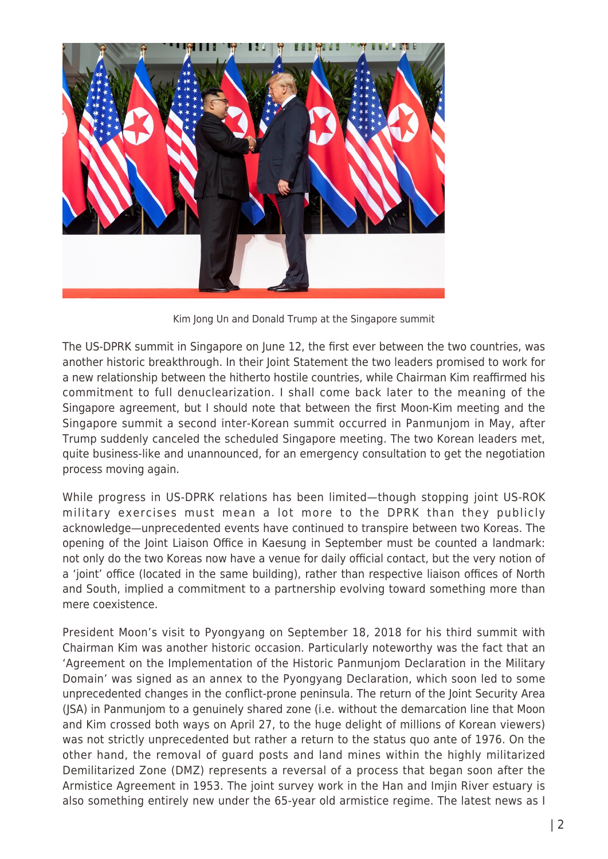

Kim Jong Un and Donald Trump at the Singapore summit

The US-DPRK summit in Singapore on June 12, the first ever between the two countries, was another historic breakthrough. In their Joint Statement the two leaders promised to work for a new relationship between the hitherto hostile countries, while Chairman Kim reaffirmed his commitment to full denuclearization. I shall come back later to the meaning of the Singapore agreement, but I should note that between the first Moon-Kim meeting and the Singapore summit a second inter-Korean summit occurred in Panmunjom in May, after Trump suddenly canceled the scheduled Singapore meeting. The two Korean leaders met, quite business-like and unannounced, for an emergency consultation to get the negotiation process moving again.

While progress in US-DPRK relations has been limited—though stopping joint US-ROK military exercises must mean a lot more to the DPRK than they publicly acknowledge—unprecedented events have continued to transpire between two Koreas. The opening of the Joint Liaison Office in Kaesung in September must be counted a landmark: not only do the two Koreas now have a venue for daily official contact, but the very notion of a 'joint' office (located in the same building), rather than respective liaison offices of North and South, implied a commitment to a partnership evolving toward something more than mere coexistence.

President Moon's visit to Pyongyang on September 18, 2018 for his third summit with Chairman Kim was another historic occasion. Particularly noteworthy was the fact that an 'Agreement on the Implementation of the Historic Panmunjom Declaration in the Military Domain' was signed as an annex to the Pyongyang Declaration, which soon led to some unprecedented changes in the conflict-prone peninsula. The return of the Joint Security Area (JSA) in Panmunjom to a genuinely shared zone (i.e. without the demarcation line that Moon and Kim crossed both ways on April 27, to the huge delight of millions of Korean viewers) was not strictly unprecedented but rather a return to the status quo ante of 1976. On the other hand, the removal of guard posts and land mines within the highly militarized Demilitarized Zone (DMZ) represents a reversal of a process that began soon after the Armistice Agreement in 1953. The joint survey work in the Han and Imjin River estuary is also something entirely new under the 65-year old armistice regime. The latest news as I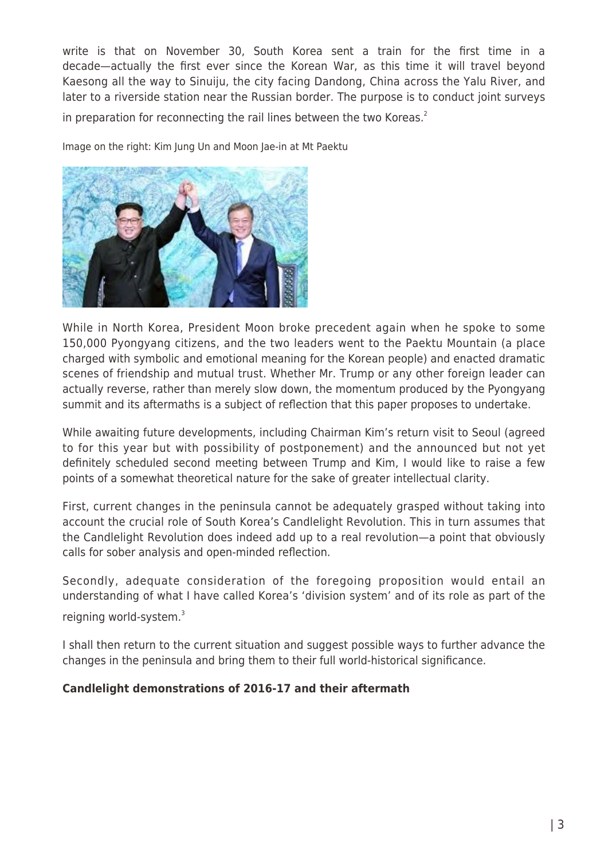write is that on November 30, South Korea sent a train for the first time in a decade—actually the first ever since the Korean War, as this time it will travel beyond Kaesong all the way to Sinuiju, the city facing Dandong, China across the Yalu River, and later to a riverside station near the Russian border. The purpose is to conduct joint surveys in preparation for reconnecting the rail lines between the two Koreas. $2$ 

Image on the right: Kim Jung Un and Moon Jae-in at Mt Paektu



While in North Korea, President Moon broke precedent again when he spoke to some 150,000 Pyongyang citizens, and the two leaders went to the Paektu Mountain (a place charged with symbolic and emotional meaning for the Korean people) and enacted dramatic scenes of friendship and mutual trust. Whether Mr. Trump or any other foreign leader can actually reverse, rather than merely slow down, the momentum produced by the Pyongyang summit and its aftermaths is a subject of reflection that this paper proposes to undertake.

While awaiting future developments, including Chairman Kim's return visit to Seoul (agreed to for this year but with possibility of postponement) and the announced but not yet definitely scheduled second meeting between Trump and Kim, I would like to raise a few points of a somewhat theoretical nature for the sake of greater intellectual clarity.

First, current changes in the peninsula cannot be adequately grasped without taking into account the crucial role of South Korea's Candlelight Revolution. This in turn assumes that the Candlelight Revolution does indeed add up to a real revolution—a point that obviously calls for sober analysis and open-minded reflection.

Secondly, adequate consideration of the foregoing proposition would entail an understanding of what I have called Korea's 'division system' and of its role as part of the reigning world-system.<sup>3</sup>

I shall then return to the current situation and suggest possible ways to further advance the changes in the peninsula and bring them to their full world-historical significance.

## **Candlelight demonstrations of 2016-17 and their aftermath**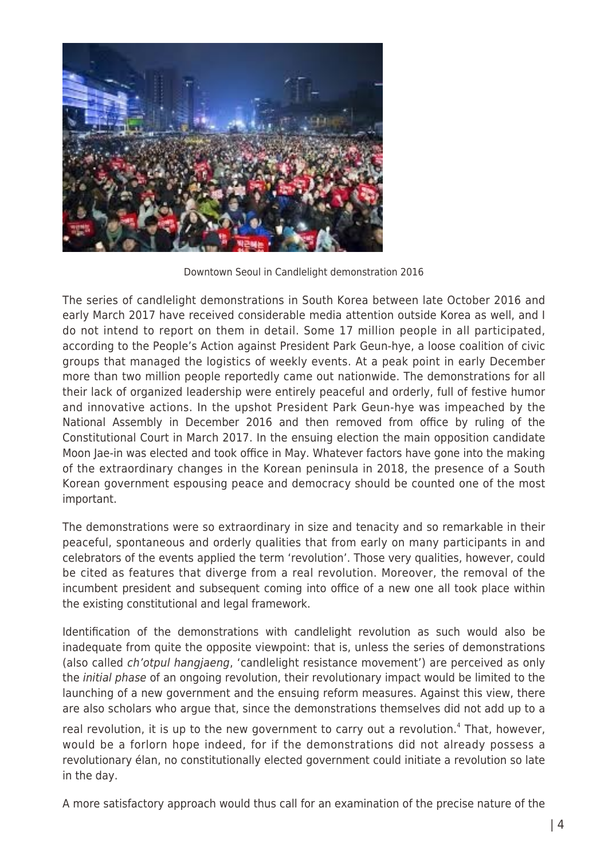

Downtown Seoul in Candlelight demonstration 2016

The series of candlelight demonstrations in South Korea between late October 2016 and early March 2017 have received considerable media attention outside Korea as well, and I do not intend to report on them in detail. Some 17 million people in all participated, according to the People's Action against President Park Geun-hye, a loose coalition of civic groups that managed the logistics of weekly events. At a peak point in early December more than two million people reportedly came out nationwide. The demonstrations for all their lack of organized leadership were entirely peaceful and orderly, full of festive humor and innovative actions. In the upshot President Park Geun-hye was impeached by the National Assembly in December 2016 and then removed from office by ruling of the Constitutional Court in March 2017. In the ensuing election the main opposition candidate Moon Jae-in was elected and took office in May. Whatever factors have gone into the making of the extraordinary changes in the Korean peninsula in 2018, the presence of a South Korean government espousing peace and democracy should be counted one of the most important.

The demonstrations were so extraordinary in size and tenacity and so remarkable in their peaceful, spontaneous and orderly qualities that from early on many participants in and celebrators of the events applied the term 'revolution'. Those very qualities, however, could be cited as features that diverge from a real revolution. Moreover, the removal of the incumbent president and subsequent coming into office of a new one all took place within the existing constitutional and legal framework.

Identification of the demonstrations with candlelight revolution as such would also be inadequate from quite the opposite viewpoint: that is, unless the series of demonstrations (also called ch'otpul hangjaeng, 'candlelight resistance movement') are perceived as only the initial phase of an ongoing revolution, their revolutionary impact would be limited to the launching of a new government and the ensuing reform measures. Against this view, there are also scholars who argue that, since the demonstrations themselves did not add up to a

real revolution, it is up to the new government to carry out a revolution.<sup>4</sup> That, however, would be a forlorn hope indeed, for if the demonstrations did not already possess a revolutionary élan, no constitutionally elected government could initiate a revolution so late in the day.

A more satisfactory approach would thus call for an examination of the precise nature of the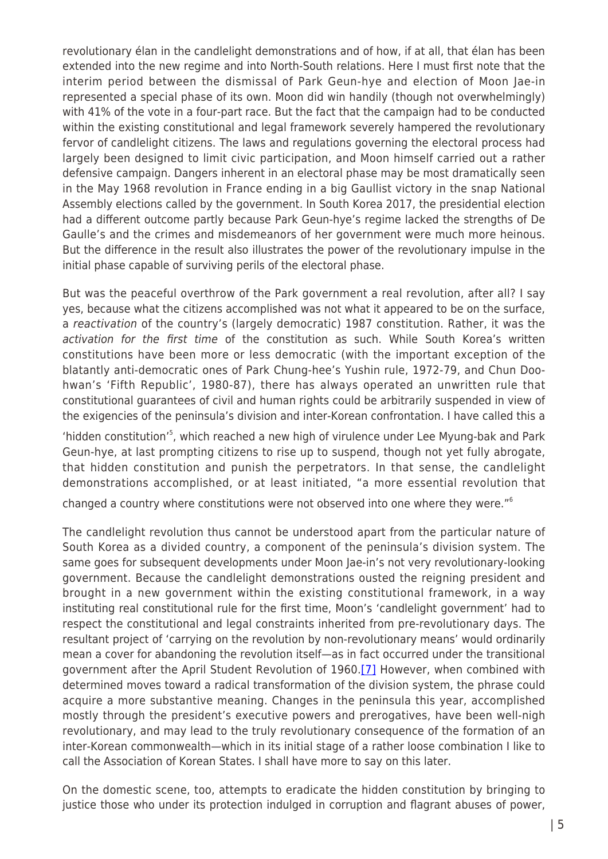revolutionary élan in the candlelight demonstrations and of how, if at all, that élan has been extended into the new regime and into North-South relations. Here I must first note that the interim period between the dismissal of Park Geun-hye and election of Moon Jae-in represented a special phase of its own. Moon did win handily (though not overwhelmingly) with 41% of the vote in a four-part race. But the fact that the campaign had to be conducted within the existing constitutional and legal framework severely hampered the revolutionary fervor of candlelight citizens. The laws and regulations governing the electoral process had largely been designed to limit civic participation, and Moon himself carried out a rather defensive campaign. Dangers inherent in an electoral phase may be most dramatically seen in the May 1968 revolution in France ending in a big Gaullist victory in the snap National Assembly elections called by the government. In South Korea 2017, the presidential election had a different outcome partly because Park Geun-hye's regime lacked the strengths of De Gaulle's and the crimes and misdemeanors of her government were much more heinous. But the difference in the result also illustrates the power of the revolutionary impulse in the initial phase capable of surviving perils of the electoral phase.

But was the peaceful overthrow of the Park government a real revolution, after all? I say yes, because what the citizens accomplished was not what it appeared to be on the surface, a reactivation of the country's (largely democratic) 1987 constitution. Rather, it was the activation for the first time of the constitution as such. While South Korea's written constitutions have been more or less democratic (with the important exception of the blatantly anti-democratic ones of Park Chung-hee's Yushin rule, 1972-79, and Chun Doohwan's 'Fifth Republic', 1980-87), there has always operated an unwritten rule that constitutional guarantees of civil and human rights could be arbitrarily suspended in view of the exigencies of the peninsula's division and inter-Korean confrontation. I have called this a

'hidden constitution'<sup>5</sup>, which reached a new high of virulence under Lee Myung-bak and Park Geun-hye, at last prompting citizens to rise up to suspend, though not yet fully abrogate, that hidden constitution and punish the perpetrators. In that sense, the candlelight demonstrations accomplished, or at least initiated, "a more essential revolution that

changed a country where constitutions were not observed into one where they were."<sup>6</sup>

The candlelight revolution thus cannot be understood apart from the particular nature of South Korea as a divided country, a component of the peninsula's division system. The same goes for subsequent developments under Moon Jae-in's not very revolutionary-looking government. Because the candlelight demonstrations ousted the reigning president and brought in a new government within the existing constitutional framework, in a way instituting real constitutional rule for the first time, Moon's 'candlelight government' had to respect the constitutional and legal constraints inherited from pre-revolutionary days. The resultant project of 'carrying on the revolution by non-revolutionary means' would ordinarily mean a cover for abandoning the revolution itself—as in fact occurred under the transitional government after the April Student Revolution of 1960.<sup>[\[7\]](https://apjjf.org/2018/23/Paik.html#_ftn7)</sup> However, when combined with determined moves toward a radical transformation of the division system, the phrase could acquire a more substantive meaning. Changes in the peninsula this year, accomplished mostly through the president's executive powers and prerogatives, have been well-nigh revolutionary, and may lead to the truly revolutionary consequence of the formation of an inter-Korean commonwealth—which in its initial stage of a rather loose combination I like to call the Association of Korean States. I shall have more to say on this later.

On the domestic scene, too, attempts to eradicate the hidden constitution by bringing to justice those who under its protection indulged in corruption and flagrant abuses of power,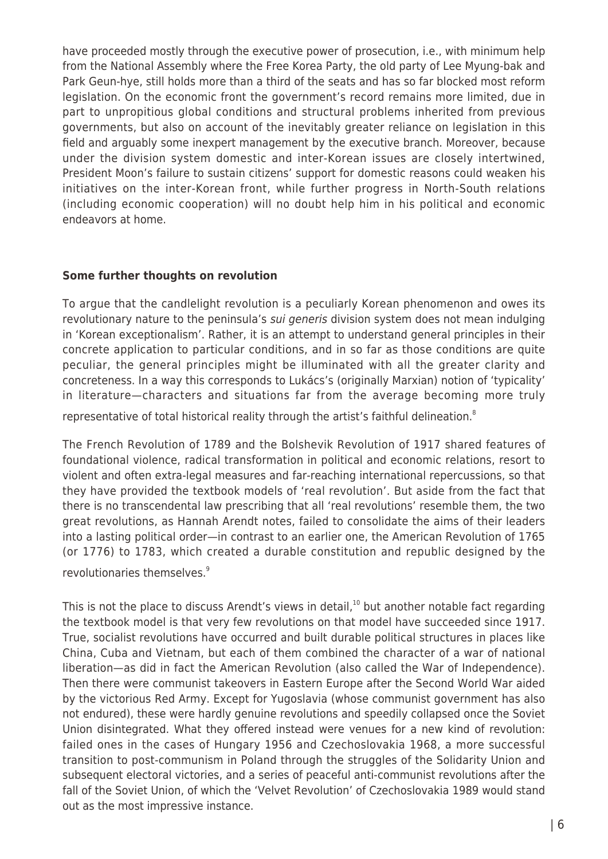have proceeded mostly through the executive power of prosecution, i.e., with minimum help from the National Assembly where the Free Korea Party, the old party of Lee Myung-bak and Park Geun-hye, still holds more than a third of the seats and has so far blocked most reform legislation. On the economic front the government's record remains more limited, due in part to unpropitious global conditions and structural problems inherited from previous governments, but also on account of the inevitably greater reliance on legislation in this field and arguably some inexpert management by the executive branch. Moreover, because under the division system domestic and inter-Korean issues are closely intertwined, President Moon's failure to sustain citizens' support for domestic reasons could weaken his initiatives on the inter-Korean front, while further progress in North-South relations (including economic cooperation) will no doubt help him in his political and economic endeavors at home.

### **Some further thoughts on revolution**

To argue that the candlelight revolution is a peculiarly Korean phenomenon and owes its revolutionary nature to the peninsula's *sui generis* division system does not mean indulging in 'Korean exceptionalism'. Rather, it is an attempt to understand general principles in their concrete application to particular conditions, and in so far as those conditions are quite peculiar, the general principles might be illuminated with all the greater clarity and concreteness. In a way this corresponds to Lukács's (originally Marxian) notion of 'typicality' in literature—characters and situations far from the average becoming more truly representative of total historical reality through the artist's faithful delineation. $8$ 

The French Revolution of 1789 and the Bolshevik Revolution of 1917 shared features of foundational violence, radical transformation in political and economic relations, resort to violent and often extra-legal measures and far-reaching international repercussions, so that they have provided the textbook models of 'real revolution'. But aside from the fact that there is no transcendental law prescribing that all 'real revolutions' resemble them, the two great revolutions, as Hannah Arendt notes, failed to consolidate the aims of their leaders into a lasting political order—in contrast to an earlier one, the American Revolution of 1765 (or 1776) to 1783, which created a durable constitution and republic designed by the revolutionaries themselves.<sup>9</sup>

This is not the place to discuss Arendt's views in detail,<sup>10</sup> but another notable fact regarding the textbook model is that very few revolutions on that model have succeeded since 1917. True, socialist revolutions have occurred and built durable political structures in places like China, Cuba and Vietnam, but each of them combined the character of a war of national liberation—as did in fact the American Revolution (also called the War of Independence). Then there were communist takeovers in Eastern Europe after the Second World War aided by the victorious Red Army. Except for Yugoslavia (whose communist government has also not endured), these were hardly genuine revolutions and speedily collapsed once the Soviet Union disintegrated. What they offered instead were venues for a new kind of revolution: failed ones in the cases of Hungary 1956 and Czechoslovakia 1968, a more successful transition to post-communism in Poland through the struggles of the Solidarity Union and subsequent electoral victories, and a series of peaceful anti-communist revolutions after the fall of the Soviet Union, of which the 'Velvet Revolution' of Czechoslovakia 1989 would stand out as the most impressive instance.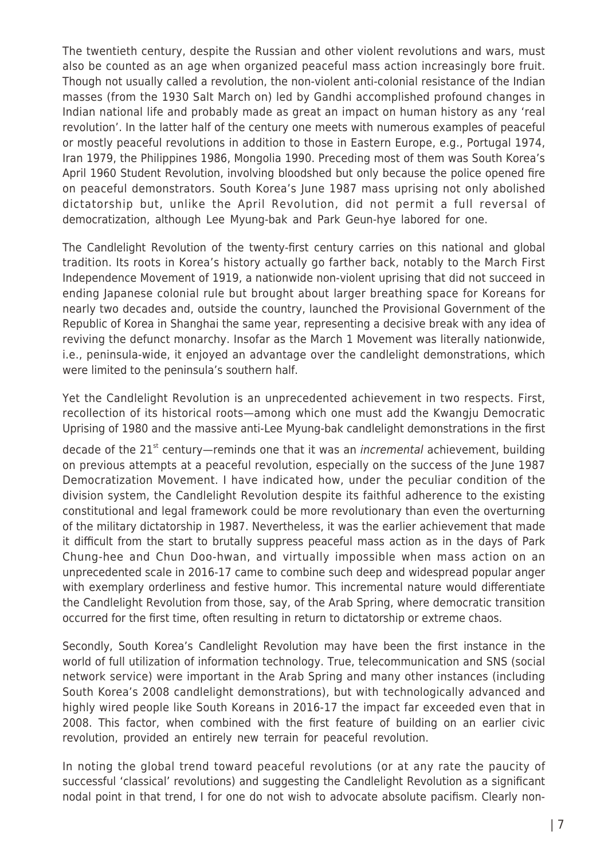The twentieth century, despite the Russian and other violent revolutions and wars, must also be counted as an age when organized peaceful mass action increasingly bore fruit. Though not usually called a revolution, the non-violent anti-colonial resistance of the Indian masses (from the 1930 Salt March on) led by Gandhi accomplished profound changes in Indian national life and probably made as great an impact on human history as any 'real revolution'. In the latter half of the century one meets with numerous examples of peaceful or mostly peaceful revolutions in addition to those in Eastern Europe, e.g., Portugal 1974, Iran 1979, the Philippines 1986, Mongolia 1990. Preceding most of them was South Korea's April 1960 Student Revolution, involving bloodshed but only because the police opened fire on peaceful demonstrators. South Korea's June 1987 mass uprising not only abolished dictatorship but, unlike the April Revolution, did not permit a full reversal of democratization, although Lee Myung-bak and Park Geun-hye labored for one.

The Candlelight Revolution of the twenty-first century carries on this national and global tradition. Its roots in Korea's history actually go farther back, notably to the March First Independence Movement of 1919, a nationwide non-violent uprising that did not succeed in ending Japanese colonial rule but brought about larger breathing space for Koreans for nearly two decades and, outside the country, launched the Provisional Government of the Republic of Korea in Shanghai the same year, representing a decisive break with any idea of reviving the defunct monarchy. Insofar as the March 1 Movement was literally nationwide, i.e., peninsula-wide, it enjoyed an advantage over the candlelight demonstrations, which were limited to the peninsula's southern half.

Yet the Candlelight Revolution is an unprecedented achievement in two respects. First, recollection of its historical roots—among which one must add the Kwangju Democratic Uprising of 1980 and the massive anti-Lee Myung-bak candlelight demonstrations in the first

decade of the  $21^{st}$  century—reminds one that it was an *incremental* achievement, building on previous attempts at a peaceful revolution, especially on the success of the June 1987 Democratization Movement. I have indicated how, under the peculiar condition of the division system, the Candlelight Revolution despite its faithful adherence to the existing constitutional and legal framework could be more revolutionary than even the overturning of the military dictatorship in 1987. Nevertheless, it was the earlier achievement that made it difficult from the start to brutally suppress peaceful mass action as in the days of Park Chung-hee and Chun Doo-hwan, and virtually impossible when mass action on an unprecedented scale in 2016-17 came to combine such deep and widespread popular anger with exemplary orderliness and festive humor. This incremental nature would differentiate the Candlelight Revolution from those, say, of the Arab Spring, where democratic transition occurred for the first time, often resulting in return to dictatorship or extreme chaos.

Secondly, South Korea's Candlelight Revolution may have been the first instance in the world of full utilization of information technology. True, telecommunication and SNS (social network service) were important in the Arab Spring and many other instances (including South Korea's 2008 candlelight demonstrations), but with technologically advanced and highly wired people like South Koreans in 2016-17 the impact far exceeded even that in 2008. This factor, when combined with the first feature of building on an earlier civic revolution, provided an entirely new terrain for peaceful revolution.

In noting the global trend toward peaceful revolutions (or at any rate the paucity of successful 'classical' revolutions) and suggesting the Candlelight Revolution as a significant nodal point in that trend, I for one do not wish to advocate absolute pacifism. Clearly non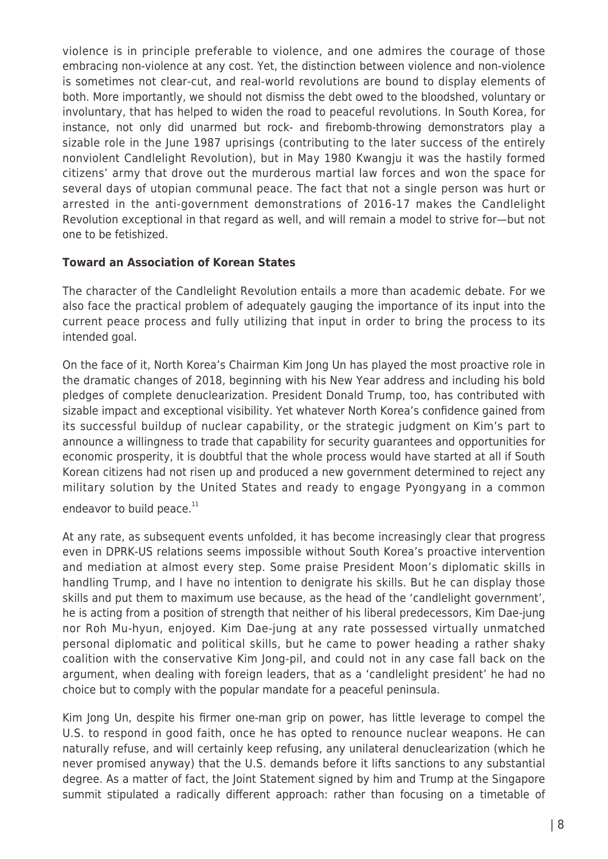violence is in principle preferable to violence, and one admires the courage of those embracing non-violence at any cost. Yet, the distinction between violence and non-violence is sometimes not clear-cut, and real-world revolutions are bound to display elements of both. More importantly, we should not dismiss the debt owed to the bloodshed, voluntary or involuntary, that has helped to widen the road to peaceful revolutions. In South Korea, for instance, not only did unarmed but rock- and firebomb-throwing demonstrators play a sizable role in the June 1987 uprisings (contributing to the later success of the entirely nonviolent Candlelight Revolution), but in May 1980 Kwangju it was the hastily formed citizens' army that drove out the murderous martial law forces and won the space for several days of utopian communal peace. The fact that not a single person was hurt or arrested in the anti-government demonstrations of 2016-17 makes the Candlelight Revolution exceptional in that regard as well, and will remain a model to strive for—but not one to be fetishized.

## **Toward an Association of Korean States**

The character of the Candlelight Revolution entails a more than academic debate. For we also face the practical problem of adequately gauging the importance of its input into the current peace process and fully utilizing that input in order to bring the process to its intended goal.

On the face of it, North Korea's Chairman Kim Jong Un has played the most proactive role in the dramatic changes of 2018, beginning with his New Year address and including his bold pledges of complete denuclearization. President Donald Trump, too, has contributed with sizable impact and exceptional visibility. Yet whatever North Korea's confidence gained from its successful buildup of nuclear capability, or the strategic judgment on Kim's part to announce a willingness to trade that capability for security guarantees and opportunities for economic prosperity, it is doubtful that the whole process would have started at all if South Korean citizens had not risen up and produced a new government determined to reject any military solution by the United States and ready to engage Pyongyang in a common endeavor to build peace.<sup>11</sup>

At any rate, as subsequent events unfolded, it has become increasingly clear that progress even in DPRK-US relations seems impossible without South Korea's proactive intervention and mediation at almost every step. Some praise President Moon's diplomatic skills in handling Trump, and I have no intention to denigrate his skills. But he can display those skills and put them to maximum use because, as the head of the 'candlelight government', he is acting from a position of strength that neither of his liberal predecessors, Kim Dae-jung nor Roh Mu-hyun, enjoyed. Kim Dae-jung at any rate possessed virtually unmatched personal diplomatic and political skills, but he came to power heading a rather shaky coalition with the conservative Kim Jong-pil, and could not in any case fall back on the argument, when dealing with foreign leaders, that as a 'candlelight president' he had no choice but to comply with the popular mandate for a peaceful peninsula.

Kim Jong Un, despite his firmer one-man grip on power, has little leverage to compel the U.S. to respond in good faith, once he has opted to renounce nuclear weapons. He can naturally refuse, and will certainly keep refusing, any unilateral denuclearization (which he never promised anyway) that the U.S. demands before it lifts sanctions to any substantial degree. As a matter of fact, the Joint Statement signed by him and Trump at the Singapore summit stipulated a radically different approach: rather than focusing on a timetable of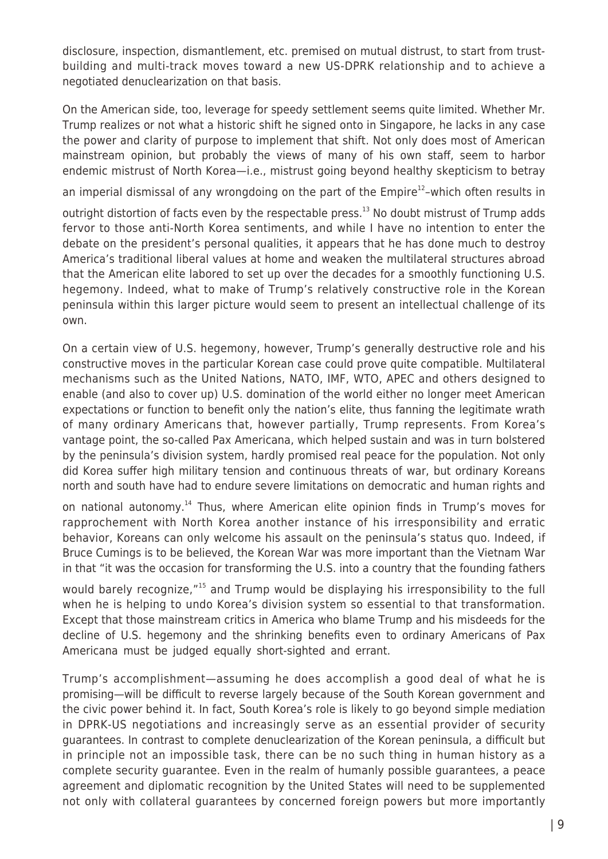disclosure, inspection, dismantlement, etc. premised on mutual distrust, to start from trustbuilding and multi-track moves toward a new US-DPRK relationship and to achieve a negotiated denuclearization on that basis.

On the American side, too, leverage for speedy settlement seems quite limited. Whether Mr. Trump realizes or not what a historic shift he signed onto in Singapore, he lacks in any case the power and clarity of purpose to implement that shift. Not only does most of American mainstream opinion, but probably the views of many of his own staff, seem to harbor endemic mistrust of North Korea—i.e., mistrust going beyond healthy skepticism to betray

an imperial dismissal of any wrongdoing on the part of the  $Empire^{12}$ -which often results in

outright distortion of facts even by the respectable press.<sup>13</sup> No doubt mistrust of Trump adds fervor to those anti-North Korea sentiments, and while I have no intention to enter the debate on the president's personal qualities, it appears that he has done much to destroy America's traditional liberal values at home and weaken the multilateral structures abroad that the American elite labored to set up over the decades for a smoothly functioning U.S. hegemony. Indeed, what to make of Trump's relatively constructive role in the Korean peninsula within this larger picture would seem to present an intellectual challenge of its own.

On a certain view of U.S. hegemony, however, Trump's generally destructive role and his constructive moves in the particular Korean case could prove quite compatible. Multilateral mechanisms such as the United Nations, NATO, IMF, WTO, APEC and others designed to enable (and also to cover up) U.S. domination of the world either no longer meet American expectations or function to benefit only the nation's elite, thus fanning the legitimate wrath of many ordinary Americans that, however partially, Trump represents. From Korea's vantage point, the so-called Pax Americana, which helped sustain and was in turn bolstered by the peninsula's division system, hardly promised real peace for the population. Not only did Korea suffer high military tension and continuous threats of war, but ordinary Koreans north and south have had to endure severe limitations on democratic and human rights and

on national autonomy.<sup>14</sup> Thus, where American elite opinion finds in Trump's moves for rapprochement with North Korea another instance of his irresponsibility and erratic behavior, Koreans can only welcome his assault on the peninsula's status quo. Indeed, if Bruce Cumings is to be believed, the Korean War was more important than the Vietnam War in that "it was the occasion for transforming the U.S. into a country that the founding fathers

would barely recognize,"<sup>15</sup> and Trump would be displaying his irresponsibility to the full when he is helping to undo Korea's division system so essential to that transformation. Except that those mainstream critics in America who blame Trump and his misdeeds for the decline of U.S. hegemony and the shrinking benefits even to ordinary Americans of Pax Americana must be judged equally short-sighted and errant.

Trump's accomplishment—assuming he does accomplish a good deal of what he is promising—will be difficult to reverse largely because of the South Korean government and the civic power behind it. In fact, South Korea's role is likely to go beyond simple mediation in DPRK-US negotiations and increasingly serve as an essential provider of security guarantees. In contrast to complete denuclearization of the Korean peninsula, a difficult but in principle not an impossible task, there can be no such thing in human history as a complete security guarantee. Even in the realm of humanly possible guarantees, a peace agreement and diplomatic recognition by the United States will need to be supplemented not only with collateral guarantees by concerned foreign powers but more importantly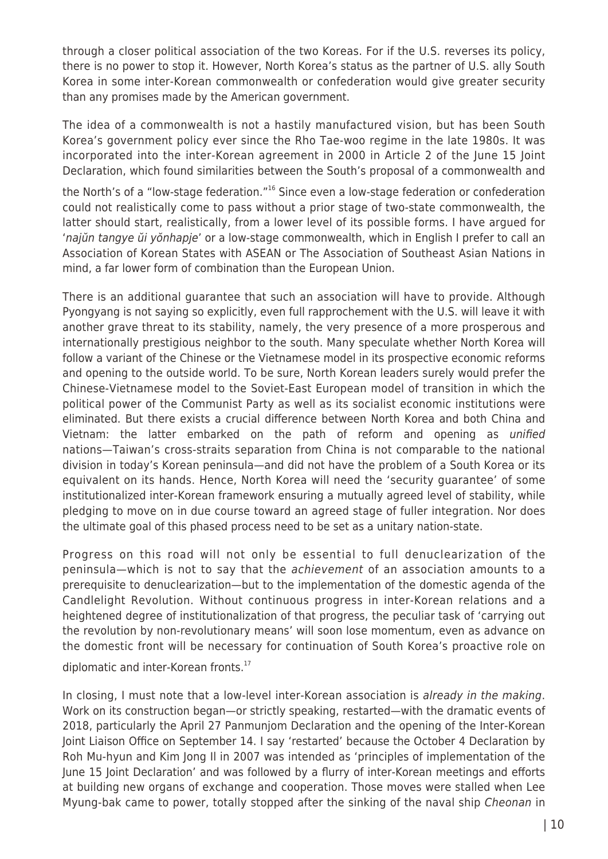through a closer political association of the two Koreas. For if the U.S. reverses its policy, there is no power to stop it. However, North Korea's status as the partner of U.S. ally South Korea in some inter-Korean commonwealth or confederation would give greater security than any promises made by the American government.

The idea of a commonwealth is not a hastily manufactured vision, but has been South Korea's government policy ever since the Rho Tae-woo regime in the late 1980s. It was incorporated into the inter-Korean agreement in 2000 in Article 2 of the June 15 Joint Declaration, which found similarities between the South's proposal of a commonwealth and

the North's of a "low-stage federation."<sup>16</sup> Since even a low-stage federation or confederation could not realistically come to pass without a prior stage of two-state commonwealth, the latter should start, realistically, from a lower level of its possible forms. I have argued for 'najŭn tangye ŭi yŏnhapje' or a low-stage commonwealth, which in English I prefer to call an Association of Korean States with ASEAN or The Association of Southeast Asian Nations in mind, a far lower form of combination than the European Union.

There is an additional guarantee that such an association will have to provide. Although Pyongyang is not saying so explicitly, even full rapprochement with the U.S. will leave it with another grave threat to its stability, namely, the very presence of a more prosperous and internationally prestigious neighbor to the south. Many speculate whether North Korea will follow a variant of the Chinese or the Vietnamese model in its prospective economic reforms and opening to the outside world. To be sure, North Korean leaders surely would prefer the Chinese-Vietnamese model to the Soviet-East European model of transition in which the political power of the Communist Party as well as its socialist economic institutions were eliminated. But there exists a crucial difference between North Korea and both China and Vietnam: the latter embarked on the path of reform and opening as unified nations—Taiwan's cross-straits separation from China is not comparable to the national division in today's Korean peninsula—and did not have the problem of a South Korea or its equivalent on its hands. Hence, North Korea will need the 'security guarantee' of some institutionalized inter-Korean framework ensuring a mutually agreed level of stability, while pledging to move on in due course toward an agreed stage of fuller integration. Nor does the ultimate goal of this phased process need to be set as a unitary nation-state.

Progress on this road will not only be essential to full denuclearization of the peninsula—which is not to say that the achievement of an association amounts to a prerequisite to denuclearization—but to the implementation of the domestic agenda of the Candlelight Revolution. Without continuous progress in inter-Korean relations and a heightened degree of institutionalization of that progress, the peculiar task of 'carrying out the revolution by non-revolutionary means' will soon lose momentum, even as advance on the domestic front will be necessary for continuation of South Korea's proactive role on

diplomatic and inter-Korean fronts.<sup>17</sup>

In closing, I must note that a low-level inter-Korean association is already in the making. Work on its construction began—or strictly speaking, restarted—with the dramatic events of 2018, particularly the April 27 Panmunjom Declaration and the opening of the Inter-Korean Joint Liaison Office on September 14. I say 'restarted' because the October 4 Declaration by Roh Mu-hyun and Kim Jong Il in 2007 was intended as 'principles of implementation of the June 15 Joint Declaration' and was followed by a flurry of inter-Korean meetings and efforts at building new organs of exchange and cooperation. Those moves were stalled when Lee Myung-bak came to power, totally stopped after the sinking of the naval ship Cheonan in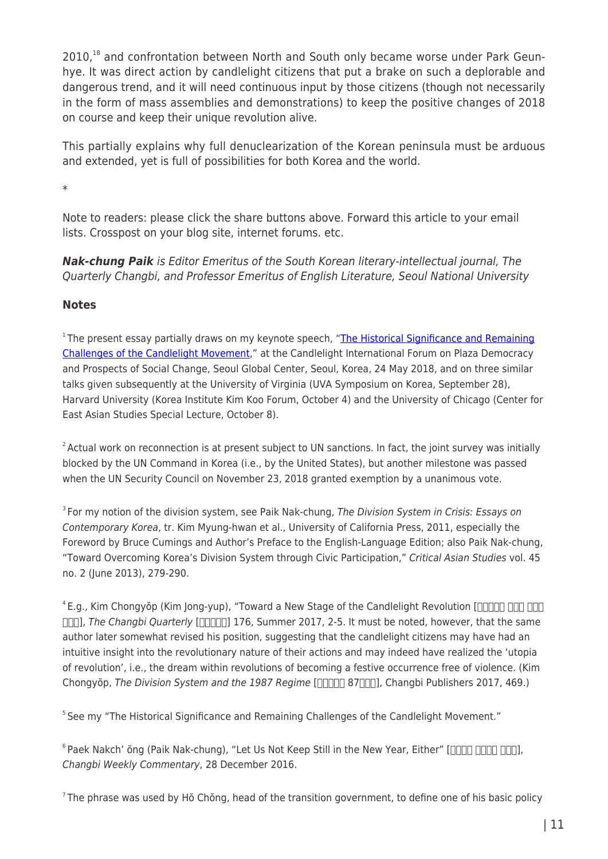2010.<sup>18</sup> and confrontation between North and South only became worse under Park Geunhye. It was direct action by candlelight citizens that put a brake on such a deplorable and dangerous trend, and it will need continuous input by those citizens (though not necessarily in the form of mass assemblies and demonstrations) to keep the positive changes of 2018 on course and keep their unique revolution alive.

This partially explains why full denuclearization of the Korean peninsula must be arduous and extended, yet is full of possibilities for both Korea and the world.

\*

Note to readers: please click the share buttons above. Forward this article to your email lists. Crosspost on your blog site, internet forums. etc.

*Nak-chung Paik* is Editor Emeritus of the South Korean literary-intellectual journal, The Quarterly Changbi, and Professor Emeritus of English Literature, Seoul National University

## **Notes**

<sup>1</sup> The present essay partially draws on my keynote speech, "[The Historical Significance and Remaining](http://magazine.changbi.com/en/articles/89575?board_id=2485) [Challenges of the Candlelight Movement,](http://magazine.changbi.com/en/articles/89575?board_id=2485)" at the Candlelight International Forum on Plaza Democracy and Prospects of Social Change, Seoul Global Center, Seoul, Korea, 24 May 2018, and on three similar talks given subsequently at the University of Virginia (UVA Symposium on Korea, September 28), Harvard University (Korea Institute Kim Koo Forum, October 4) and the University of Chicago (Center for East Asian Studies Special Lecture, October 8).

 $2$  Actual work on reconnection is at present subject to UN sanctions. In fact, the joint survey was initially blocked by the UN Command in Korea (i.e., by the United States), but another milestone was passed when the UN Security Council on November 23, 2018 granted exemption by a unanimous vote.

<sup>3</sup> For my notion of the division system, see Paik Nak-chung, The Division System in Crisis: Essays on Contemporary Korea, tr. Kim Myung-hwan et al., University of California Press, 2011, especially the Foreword by Bruce Cumings and Author's Preface to the English-Language Edition; also Paik Nak-chung, "Toward Overcoming Korea's Division System through Civic Participation," Critical Asian Studies vol. 45 no. 2 (June 2013), 279-290.

 $4E.g.,$  Kim Chongyŏp (Kim Jong-yup), "Toward a New Stage of the Candlelight Revolution  $\Box$  $\Box$  $\Box$  $\Box$  $\Box$  $\Box$ [K]], The Changbi Quarterly [KRIX] 176, Summer 2017, 2-5. It must be noted, however, that the same author later somewhat revised his position, suggesting that the candlelight citizens may have had an intuitive insight into the revolutionary nature of their actions and may indeed have realized the 'utopia of revolution', i.e., the dream within revolutions of becoming a festive occurrence free of violence. (Kim Chongyŏp, The Division System and the 1987 Regime [ $\Box$  $\Box$  $\Box$ ], Changbi Publishers 2017, 469.)

<sup>5</sup> See my "The Historical Significance and Remaining Challenges of the Candlelight Movement."

 $6$ Paek Nakch' ŏng (Paik Nak-chung), "Let Us Not Keep Still in the New Year, Either" [ $\Box$  $\Box$  $\Box$  $\Box$  $\Box$  $\Box$ ], Changbi Weekly Commentary, 28 December 2016.

 $7$ The phrase was used by Hŏ Chŏng, head of the transition government, to define one of his basic policy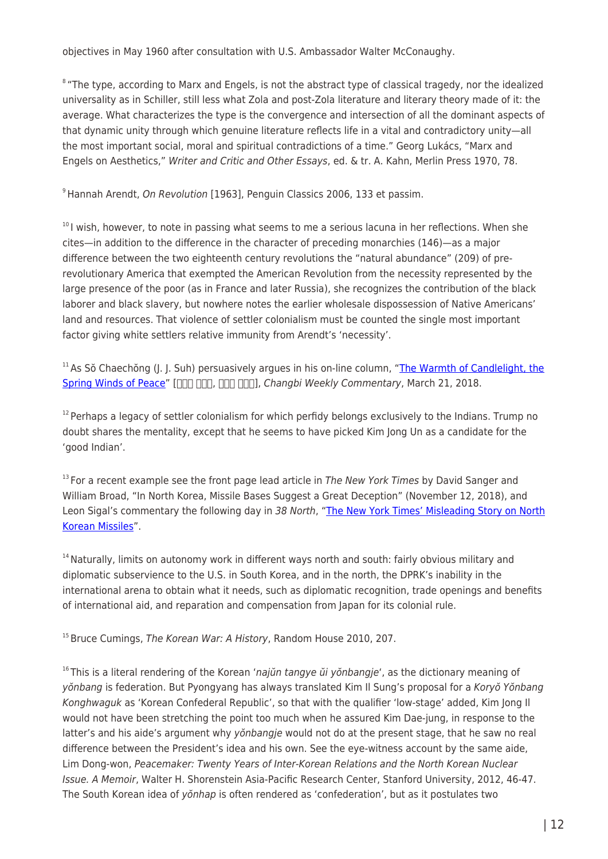objectives in May 1960 after consultation with U.S. Ambassador Walter McConaughy.

<sup>8</sup> "The type, according to Marx and Engels, is not the abstract type of classical tragedy, nor the idealized universality as in Schiller, still less what Zola and post-Zola literature and literary theory made of it: the average. What characterizes the type is the convergence and intersection of all the dominant aspects of that dynamic unity through which genuine literature reflects life in a vital and contradictory unity—all the most important social, moral and spiritual contradictions of a time." Georg Lukács, "Marx and Engels on Aesthetics," Writer and Critic and Other Essays, ed. & tr. A. Kahn, Merlin Press 1970, 78.

<sup>9</sup> Hannah Arendt, On Revolution [1963], Penguin Classics 2006, 133 et passim.

<sup>10</sup>I wish, however, to note in passing what seems to me a serious lacuna in her reflections. When she cites—in addition to the difference in the character of preceding monarchies (146)—as a major difference between the two eighteenth century revolutions the "natural abundance" (209) of prerevolutionary America that exempted the American Revolution from the necessity represented by the large presence of the poor (as in France and later Russia), she recognizes the contribution of the black laborer and black slavery, but nowhere notes the earlier wholesale dispossession of Native Americans' land and resources. That violence of settler colonialism must be counted the single most important factor giving white settlers relative immunity from Arendt's 'necessity'.

 $11$ As Sŏ Chaechŏng (J. J. Suh) persuasively argues in his on-line column, ["The Warmth of Candlelight, the](http://magazine.changbi.com/180321/?cat=2466) [Spring Winds of Peace](http://magazine.changbi.com/180321/?cat=2466)" [nn nn, nn nn], Changbi Weekly Commentary, March 21, 2018.

 $12$  Perhaps a legacy of settler colonialism for which perfidy belongs exclusively to the Indians. Trump no doubt shares the mentality, except that he seems to have picked Kim Jong Un as a candidate for the 'good Indian'.

 $13$  For a recent example see the front page lead article in The New York Times by David Sanger and William Broad, "In North Korea, Missile Bases Suggest a Great Deception" (November 12, 2018), and Leon Sigal's commentary the following day in 38 North, "[The New York Times' Misleading Story on North](https://www.38north.org/2018/11/lsigal111318/) [Korean Missiles"](https://www.38north.org/2018/11/lsigal111318/).

 $14$  Naturally, limits on autonomy work in different ways north and south: fairly obvious military and diplomatic subservience to the U.S. in South Korea, and in the north, the DPRK's inability in the international arena to obtain what it needs, such as diplomatic recognition, trade openings and benefits of international aid, and reparation and compensation from Japan for its colonial rule.

 $15$  Bruce Cumings, The Korean War: A History, Random House 2010, 207.

 $16$ This is a literal rendering of the Korean 'najūn tangye u i yonbangie', as the dictionary meaning of yŏnbang is federation. But Pyongyang has always translated Kim Il Sung's proposal for a Koryŏ Yŏnbang Konghwaguk as 'Korean Confederal Republic', so that with the qualifier 'low-stage' added, Kim Jong Il would not have been stretching the point too much when he assured Kim Dae-jung, in response to the latter's and his aide's argument why von bangie would not do at the present stage, that he saw no real difference between the President's idea and his own. See the eye-witness account by the same aide, Lim Dong-won, Peacemaker: Twenty Years of Inter-Korean Relations and the North Korean Nuclear Issue. A Memoir, Walter H. Shorenstein Asia-Pacific Research Center, Stanford University, 2012, 46-47. The South Korean idea of yŏnhap is often rendered as 'confederation', but as it postulates two